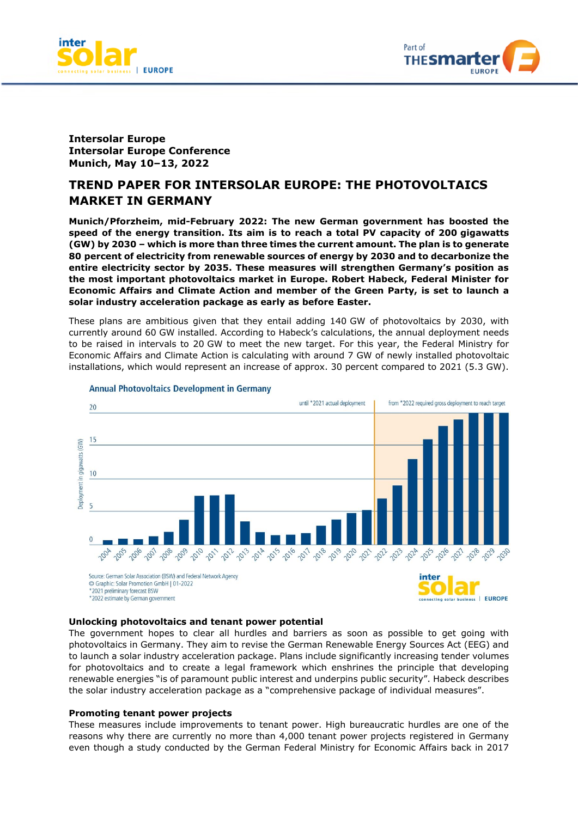



# **Intersolar Europe Intersolar Europe Conference Munich, May 10–13, 2022**

# **TREND PAPER FOR INTERSOLAR EUROPE: THE PHOTOVOLTAICS MARKET IN GERMANY**

**Munich/Pforzheim, mid-February 2022: The new German government has boosted the speed of the energy transition. Its aim is to reach a total PV capacity of 200 gigawatts (GW) by 2030 – which is more than three times the current amount. The plan is to generate 80 percent of electricity from renewable sources of energy by 2030 and to decarbonize the entire electricity sector by 2035. These measures will strengthen Germany's position as the most important photovoltaics market in Europe. Robert Habeck, Federal Minister for Economic Affairs and Climate Action and member of the Green Party, is set to launch a solar industry acceleration package as early as before Easter.** 

These plans are ambitious given that they entail adding 140 GW of photovoltaics by 2030, with currently around 60 GW installed. According to Habeck's calculations, the annual deployment needs to be raised in intervals to 20 GW to meet the new target. For this year, the Federal Ministry for Economic Affairs and Climate Action is calculating with around 7 GW of newly installed photovoltaic installations, which would represent an increase of approx. 30 percent compared to 2021 (5.3 GW).



#### **Annual Photovoltaics Development in Germany**

## **Unlocking photovoltaics and tenant power potential**

The government hopes to clear all hurdles and barriers as soon as possible to get going with photovoltaics in Germany. They aim to revise the German Renewable Energy Sources Act (EEG) and to launch a solar industry acceleration package. Plans include significantly increasing tender volumes for photovoltaics and to create a legal framework which enshrines the principle that developing renewable energies "is of paramount public interest and underpins public security". Habeck describes the solar industry acceleration package as a "comprehensive package of individual measures".

#### **Promoting tenant power projects**

These measures include improvements to tenant power. High bureaucratic hurdles are one of the reasons why there are currently no more than 4,000 tenant power projects registered in Germany even though a study conducted by the German Federal Ministry for Economic Affairs back in 2017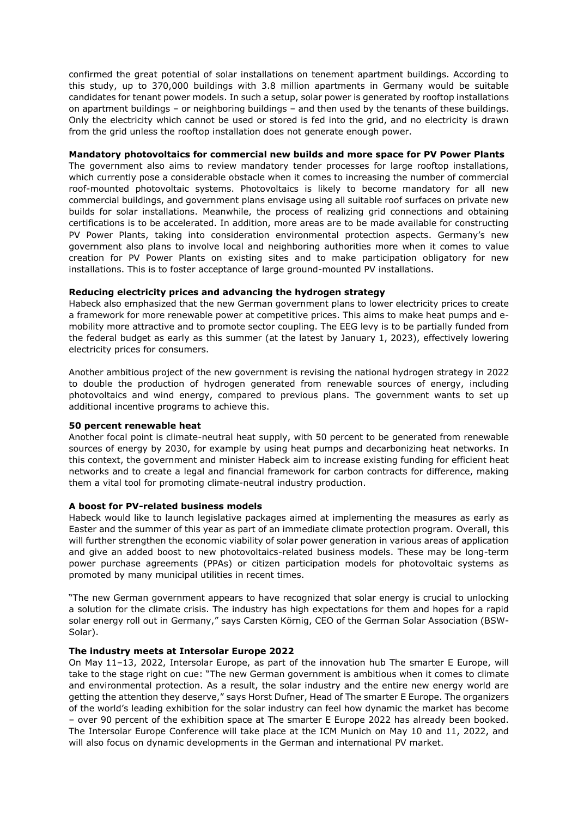confirmed the great potential of solar installations on tenement apartment buildings. According to this study, up to 370,000 buildings with 3.8 million apartments in Germany would be suitable candidates for tenant power models. In such a setup, solar power is generated by rooftop installations on apartment buildings – or neighboring buildings – and then used by the tenants of these buildings. Only the electricity which cannot be used or stored is fed into the grid, and no electricity is drawn from the grid unless the rooftop installation does not generate enough power.

### **Mandatory photovoltaics for commercial new builds and more space for PV Power Plants**

The government also aims to review mandatory tender processes for large rooftop installations, which currently pose a considerable obstacle when it comes to increasing the number of commercial roof-mounted photovoltaic systems. Photovoltaics is likely to become mandatory for all new commercial buildings, and government plans envisage using all suitable roof surfaces on private new builds for solar installations. Meanwhile, the process of realizing grid connections and obtaining certifications is to be accelerated. In addition, more areas are to be made available for constructing PV Power Plants, taking into consideration environmental protection aspects. Germany's new government also plans to involve local and neighboring authorities more when it comes to value creation for PV Power Plants on existing sites and to make participation obligatory for new installations. This is to foster acceptance of large ground-mounted PV installations.

## **Reducing electricity prices and advancing the hydrogen strategy**

Habeck also emphasized that the new German government plans to lower electricity prices to create a framework for more renewable power at competitive prices. This aims to make heat pumps and emobility more attractive and to promote sector coupling. The EEG levy is to be partially funded from the federal budget as early as this summer (at the latest by January 1, 2023), effectively lowering electricity prices for consumers.

Another ambitious project of the new government is revising the national hydrogen strategy in 2022 to double the production of hydrogen generated from renewable sources of energy, including photovoltaics and wind energy, compared to previous plans. The government wants to set up additional incentive programs to achieve this.

### **50 percent renewable heat**

Another focal point is climate-neutral heat supply, with 50 percent to be generated from renewable sources of energy by 2030, for example by using heat pumps and decarbonizing heat networks. In this context, the government and minister Habeck aim to increase existing funding for efficient heat networks and to create a legal and financial framework for carbon contracts for difference, making them a vital tool for promoting climate-neutral industry production.

## **A boost for PV-related business models**

Habeck would like to launch legislative packages aimed at implementing the measures as early as Easter and the summer of this year as part of an immediate climate protection program. Overall, this will further strengthen the economic viability of solar power generation in various areas of application and give an added boost to new photovoltaics-related business models. These may be long-term power purchase agreements (PPAs) or citizen participation models for photovoltaic systems as promoted by many municipal utilities in recent times.

"The new German government appears to have recognized that solar energy is crucial to unlocking a solution for the climate crisis. The industry has high expectations for them and hopes for a rapid solar energy roll out in Germany," says Carsten Körnig, CEO of the German Solar Association (BSW-Solar).

### **The industry meets at Intersolar Europe 2022**

On May 11–13, 2022, Intersolar Europe, as part of the innovation hub The smarter E Europe, will take to the stage right on cue: "The new German government is ambitious when it comes to climate and environmental protection. As a result, the solar industry and the entire new energy world are getting the attention they deserve," says Horst Dufner, Head of The smarter E Europe. The organizers of the world's leading exhibition for the solar industry can feel how dynamic the market has become – over 90 percent of the exhibition space at The smarter E Europe 2022 has already been booked. The Intersolar Europe Conference will take place at the ICM Munich on May 10 and 11, 2022, and will also focus on dynamic developments in the German and international PV market.